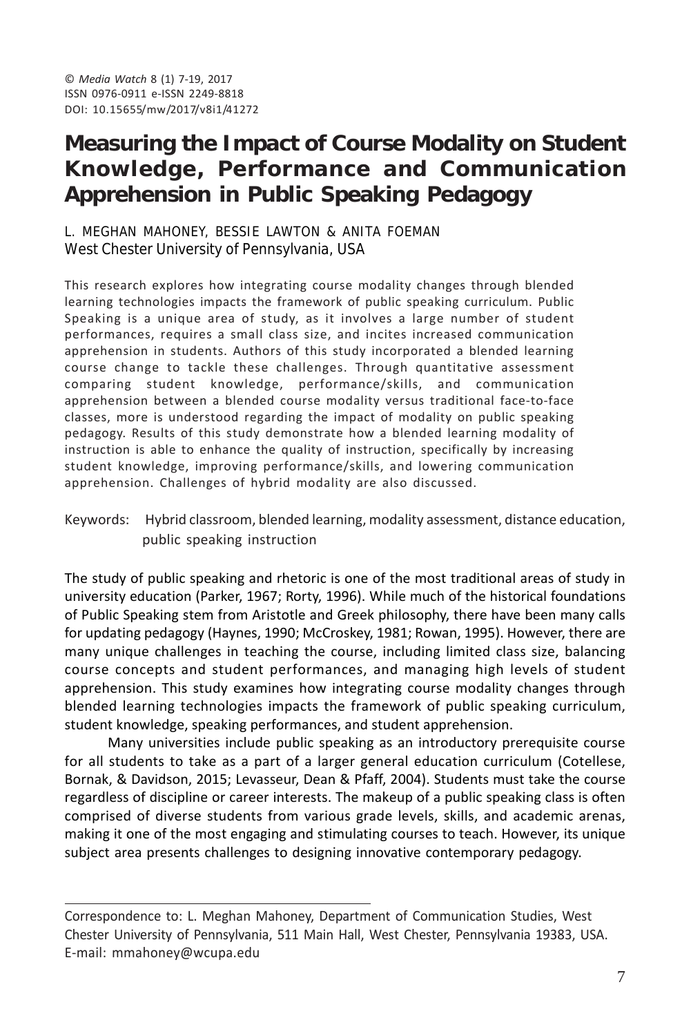# **Measuring the Impact of Course Modality on Student Knowledge, Performance and Communication Apprehension in Public Speaking Pedagogy**

#### L. MEGHAN MAHONEY, BESSIE LAWTON & ANITA FOEMAN West Chester University of Pennsylvania, USA

This research explores how integrating course modality changes through blended learning technologies impacts the framework of public speaking curriculum. Public Speaking is a unique area of study, as it involves a large number of student performances, requires a small class size, and incites increased communication apprehension in students. Authors of this study incorporated a blended learning course change to tackle these challenges. Through quantitative assessment comparing student knowledge, performance/skills, and communication apprehension between a blended course modality versus traditional face-to-face classes, more is understood regarding the impact of modality on public speaking pedagogy. Results of this study demonstrate how a blended learning modality of instruction is able to enhance the quality of instruction, specifically by increasing student knowledge, improving performance/skills, and lowering communication apprehension. Challenges of hybrid modality are also discussed.

Keywords: Hybrid classroom, blended learning, modality assessment, distance education, public speaking instruction

The study of public speaking and rhetoric is one of the most traditional areas of study in university education (Parker, 1967; Rorty, 1996). While much of the historical foundations of Public Speaking stem from Aristotle and Greek philosophy, there have been many calls for updating pedagogy (Haynes, 1990; McCroskey, 1981; Rowan, 1995). However, there are many unique challenges in teaching the course, including limited class size, balancing course concepts and student performances, and managing high levels of student apprehension. This study examines how integrating course modality changes through blended learning technologies impacts the framework of public speaking curriculum, student knowledge, speaking performances, and student apprehension.

Many universities include public speaking as an introductory prerequisite course for all students to take as a part of a larger general education curriculum (Cotellese, Bornak, & Davidson, 2015; Levasseur, Dean & Pfaff, 2004). Students must take the course regardless of discipline or career interests. The makeup of a public speaking class is often comprised of diverse students from various grade levels, skills, and academic arenas, making it one of the most engaging and stimulating courses to teach. However, its unique subject area presents challenges to designing innovative contemporary pedagogy.

Correspondence to: L. Meghan Mahoney, Department of Communication Studies, West Chester University of Pennsylvania, 511 Main Hall, West Chester, Pennsylvania 19383, USA. E-mail: mmahoney@wcupa.edu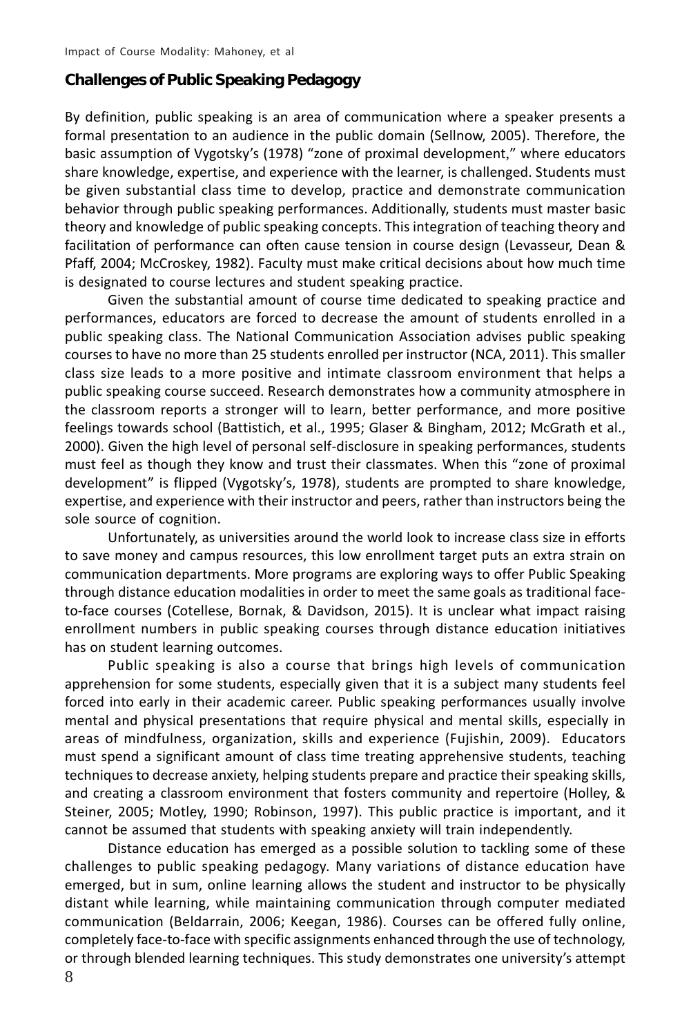#### **Challenges of Public Speaking Pedagogy**

By definition, public speaking is an area of communication where a speaker presents a formal presentation to an audience in the public domain (Sellnow, 2005). Therefore, the basic assumption of Vygotsky's (1978) "zone of proximal development," where educators share knowledge, expertise, and experience with the learner, is challenged. Students must be given substantial class time to develop, practice and demonstrate communication behavior through public speaking performances. Additionally, students must master basic theory and knowledge of public speaking concepts. This integration of teaching theory and facilitation of performance can often cause tension in course design (Levasseur, Dean & Pfaff, 2004; McCroskey, 1982). Faculty must make critical decisions about how much time is designated to course lectures and student speaking practice.

Given the substantial amount of course time dedicated to speaking practice and performances, educators are forced to decrease the amount of students enrolled in a public speaking class. The National Communication Association advises public speaking courses to have no more than 25 students enrolled per instructor (NCA, 2011). This smaller class size leads to a more positive and intimate classroom environment that helps a public speaking course succeed. Research demonstrates how a community atmosphere in the classroom reports a stronger will to learn, better performance, and more positive feelings towards school (Battistich, et al., 1995; Glaser & Bingham, 2012; McGrath et al., 2000). Given the high level of personal self-disclosure in speaking performances, students must feel as though they know and trust their classmates. When this "zone of proximal development" is flipped (Vygotsky's, 1978), students are prompted to share knowledge, expertise, and experience with their instructor and peers, rather than instructors being the sole source of cognition.

Unfortunately, as universities around the world look to increase class size in efforts to save money and campus resources, this low enrollment target puts an extra strain on communication departments. More programs are exploring ways to offer Public Speaking through distance education modalities in order to meet the same goals as traditional faceto-face courses (Cotellese, Bornak, & Davidson, 2015). It is unclear what impact raising enrollment numbers in public speaking courses through distance education initiatives has on student learning outcomes.

Public speaking is also a course that brings high levels of communication apprehension for some students, especially given that it is a subject many students feel forced into early in their academic career. Public speaking performances usually involve mental and physical presentations that require physical and mental skills, especially in areas of mindfulness, organization, skills and experience (Fujishin, 2009). Educators must spend a significant amount of class time treating apprehensive students, teaching techniques to decrease anxiety, helping students prepare and practice their speaking skills, and creating a classroom environment that fosters community and repertoire (Holley, & Steiner, 2005; Motley, 1990; Robinson, 1997). This public practice is important, and it cannot be assumed that students with speaking anxiety will train independently.

Distance education has emerged as a possible solution to tackling some of these challenges to public speaking pedagogy. Many variations of distance education have emerged, but in sum, online learning allows the student and instructor to be physically distant while learning, while maintaining communication through computer mediated communication (Beldarrain, 2006; Keegan, 1986). Courses can be offered fully online, completely face-to-face with specific assignments enhanced through the use of technology, or through blended learning techniques. This study demonstrates one university's attempt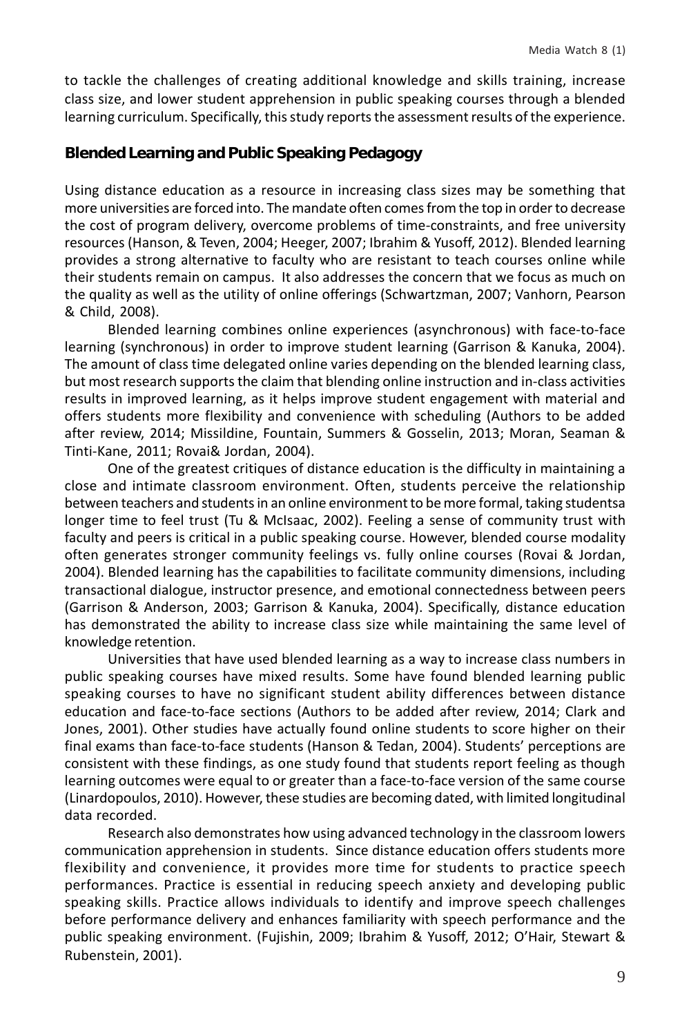to tackle the challenges of creating additional knowledge and skills training, increase class size, and lower student apprehension in public speaking courses through a blended learning curriculum. Specifically, this study reports the assessment results of the experience.

## **Blended Learning and Public Speaking Pedagogy**

Using distance education as a resource in increasing class sizes may be something that more universities are forced into. The mandate often comes from the top in order to decrease the cost of program delivery, overcome problems of time-constraints, and free university resources (Hanson, & Teven, 2004; Heeger, 2007; Ibrahim & Yusoff, 2012). Blended learning provides a strong alternative to faculty who are resistant to teach courses online while their students remain on campus. It also addresses the concern that we focus as much on the quality as well as the utility of online offerings (Schwartzman, 2007; Vanhorn, Pearson & Child, 2008).

Blended learning combines online experiences (asynchronous) with face-to-face learning (synchronous) in order to improve student learning (Garrison & Kanuka, 2004). The amount of class time delegated online varies depending on the blended learning class, but most research supports the claim that blending online instruction and in-class activities results in improved learning, as it helps improve student engagement with material and offers students more flexibility and convenience with scheduling (Authors to be added after review, 2014; Missildine, Fountain, Summers & Gosselin, 2013; Moran, Seaman & Tinti-Kane, 2011; Rovai& Jordan, 2004).

One of the greatest critiques of distance education is the difficulty in maintaining a close and intimate classroom environment. Often, students perceive the relationship between teachers and students in an online environment to be more formal, taking studentsa longer time to feel trust (Tu & McIsaac, 2002). Feeling a sense of community trust with faculty and peers is critical in a public speaking course. However, blended course modality often generates stronger community feelings vs. fully online courses (Rovai & Jordan, 2004). Blended learning has the capabilities to facilitate community dimensions, including transactional dialogue, instructor presence, and emotional connectedness between peers (Garrison & Anderson, 2003; Garrison & Kanuka, 2004). Specifically, distance education has demonstrated the ability to increase class size while maintaining the same level of knowledge retention.

Universities that have used blended learning as a way to increase class numbers in public speaking courses have mixed results. Some have found blended learning public speaking courses to have no significant student ability differences between distance education and face-to-face sections (Authors to be added after review, 2014; Clark and Jones, 2001). Other studies have actually found online students to score higher on their final exams than face-to-face students (Hanson & Tedan, 2004). Students' perceptions are consistent with these findings, as one study found that students report feeling as though learning outcomes were equal to or greater than a face-to-face version of the same course (Linardopoulos, 2010). However, these studies are becoming dated, with limited longitudinal data recorded.

Research also demonstrates how using advanced technology in the classroom lowers communication apprehension in students. Since distance education offers students more flexibility and convenience, it provides more time for students to practice speech performances. Practice is essential in reducing speech anxiety and developing public speaking skills. Practice allows individuals to identify and improve speech challenges before performance delivery and enhances familiarity with speech performance and the public speaking environment. (Fujishin, 2009; Ibrahim & Yusoff, 2012; O'Hair, Stewart & Rubenstein, 2001).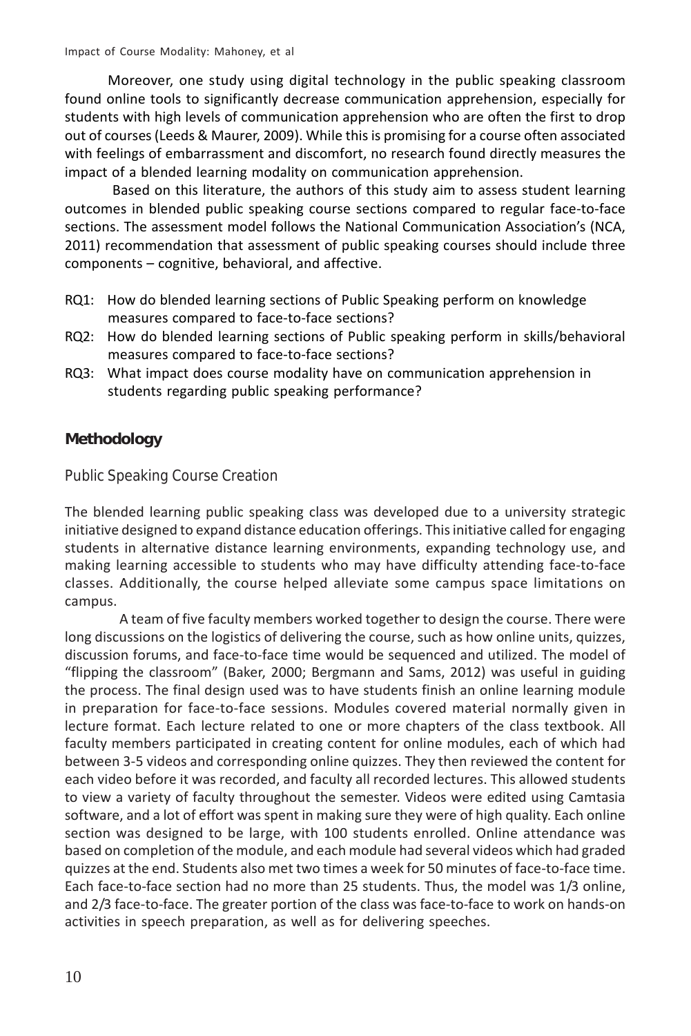Moreover, one study using digital technology in the public speaking classroom found online tools to significantly decrease communication apprehension, especially for students with high levels of communication apprehension who are often the first to drop out of courses (Leeds & Maurer, 2009). While this is promising for a course often associated with feelings of embarrassment and discomfort, no research found directly measures the impact of a blended learning modality on communication apprehension.

 Based on this literature, the authors of this study aim to assess student learning outcomes in blended public speaking course sections compared to regular face-to-face sections. The assessment model follows the National Communication Association's (NCA, 2011) recommendation that assessment of public speaking courses should include three components – cognitive, behavioral, and affective.

- RQ1: How do blended learning sections of Public Speaking perform on knowledge measures compared to face-to-face sections?
- RQ2: How do blended learning sections of Public speaking perform in skills/behavioral measures compared to face-to-face sections?
- RQ3: What impact does course modality have on communication apprehension in students regarding public speaking performance?

# **Methodology**

Public Speaking Course Creation

The blended learning public speaking class was developed due to a university strategic initiative designed to expand distance education offerings. This initiative called for engaging students in alternative distance learning environments, expanding technology use, and making learning accessible to students who may have difficulty attending face-to-face classes. Additionally, the course helped alleviate some campus space limitations on campus.

A team of five faculty members worked together to design the course. There were long discussions on the logistics of delivering the course, such as how online units, quizzes, discussion forums, and face-to-face time would be sequenced and utilized. The model of "flipping the classroom" (Baker, 2000; Bergmann and Sams, 2012) was useful in guiding the process. The final design used was to have students finish an online learning module in preparation for face-to-face sessions. Modules covered material normally given in lecture format. Each lecture related to one or more chapters of the class textbook. All faculty members participated in creating content for online modules, each of which had between 3-5 videos and corresponding online quizzes. They then reviewed the content for each video before it was recorded, and faculty all recorded lectures. This allowed students to view a variety of faculty throughout the semester. Videos were edited using Camtasia software, and a lot of effort was spent in making sure they were of high quality. Each online section was designed to be large, with 100 students enrolled. Online attendance was based on completion of the module, and each module had several videos which had graded quizzes at the end. Students also met two times a week for 50 minutes of face-to-face time. Each face-to-face section had no more than 25 students. Thus, the model was 1/3 online, and 2/3 face-to-face. The greater portion of the class was face-to-face to work on hands-on activities in speech preparation, as well as for delivering speeches.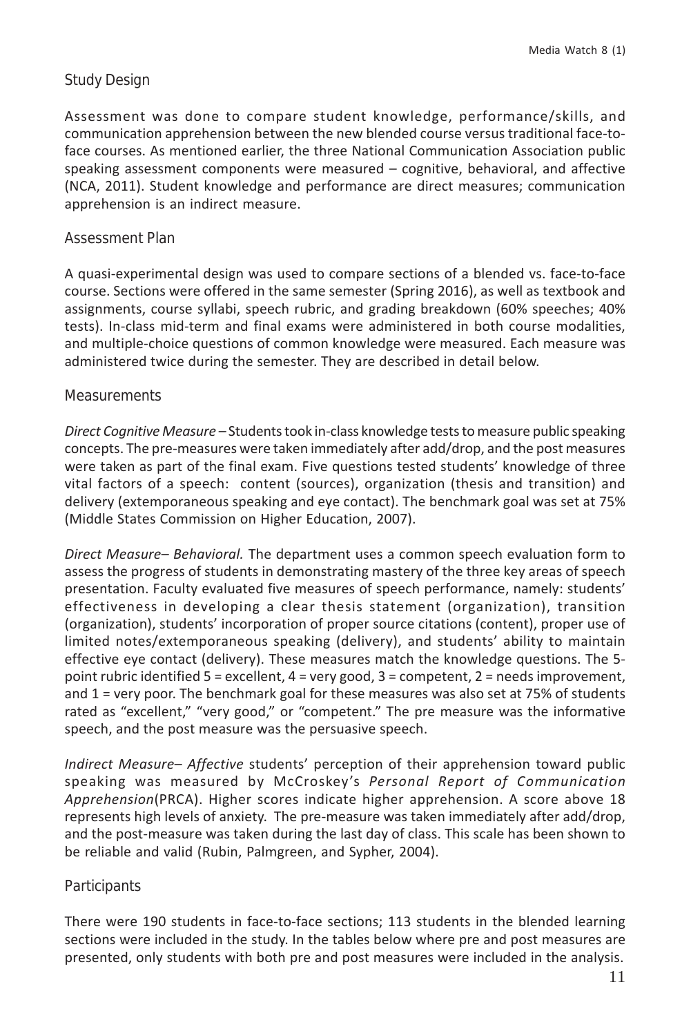# Study Design

Assessment was done to compare student knowledge, performance/skills, and communication apprehension between the new blended course versus traditional face-toface courses. As mentioned earlier, the three National Communication Association public speaking assessment components were measured – cognitive, behavioral, and affective (NCA, 2011). Student knowledge and performance are direct measures; communication apprehension is an indirect measure.

#### Assessment Plan

A quasi-experimental design was used to compare sections of a blended vs. face-to-face course. Sections were offered in the same semester (Spring 2016), as well as textbook and assignments, course syllabi, speech rubric, and grading breakdown (60% speeches; 40% tests). In-class mid-term and final exams were administered in both course modalities, and multiple-choice questions of common knowledge were measured. Each measure was administered twice during the semester. They are described in detail below.

#### **Measurements**

*Direct Cognitive Measure –* Students took in-class knowledge tests to measure public speaking concepts. The pre-measures were taken immediately after add/drop, and the post measures were taken as part of the final exam. Five questions tested students' knowledge of three vital factors of a speech: content (sources), organization (thesis and transition) and delivery (extemporaneous speaking and eye contact). The benchmark goal was set at 75% (Middle States Commission on Higher Education, 2007).

*Direct Measure– Behavioral.* The department uses a common speech evaluation form to assess the progress of students in demonstrating mastery of the three key areas of speech presentation. Faculty evaluated five measures of speech performance, namely: students' effectiveness in developing a clear thesis statement (organization), transition (organization), students' incorporation of proper source citations (content), proper use of limited notes/extemporaneous speaking (delivery), and students' ability to maintain effective eye contact (delivery). These measures match the knowledge questions. The 5 point rubric identified 5 = excellent, 4 = very good, 3 = competent, 2 = needs improvement, and 1 = very poor. The benchmark goal for these measures was also set at 75% of students rated as "excellent," "very good," or "competent." The pre measure was the informative speech, and the post measure was the persuasive speech.

*Indirect Measure– Affective* students' perception of their apprehension toward public speaking was measured by McCroskey's *Personal Report of Communication Apprehension*(PRCA). Higher scores indicate higher apprehension. A score above 18 represents high levels of anxiety. The pre-measure was taken immediately after add/drop, and the post-measure was taken during the last day of class. This scale has been shown to be reliable and valid (Rubin, Palmgreen, and Sypher, 2004).

#### **Participants**

There were 190 students in face-to-face sections; 113 students in the blended learning sections were included in the study. In the tables below where pre and post measures are presented, only students with both pre and post measures were included in the analysis.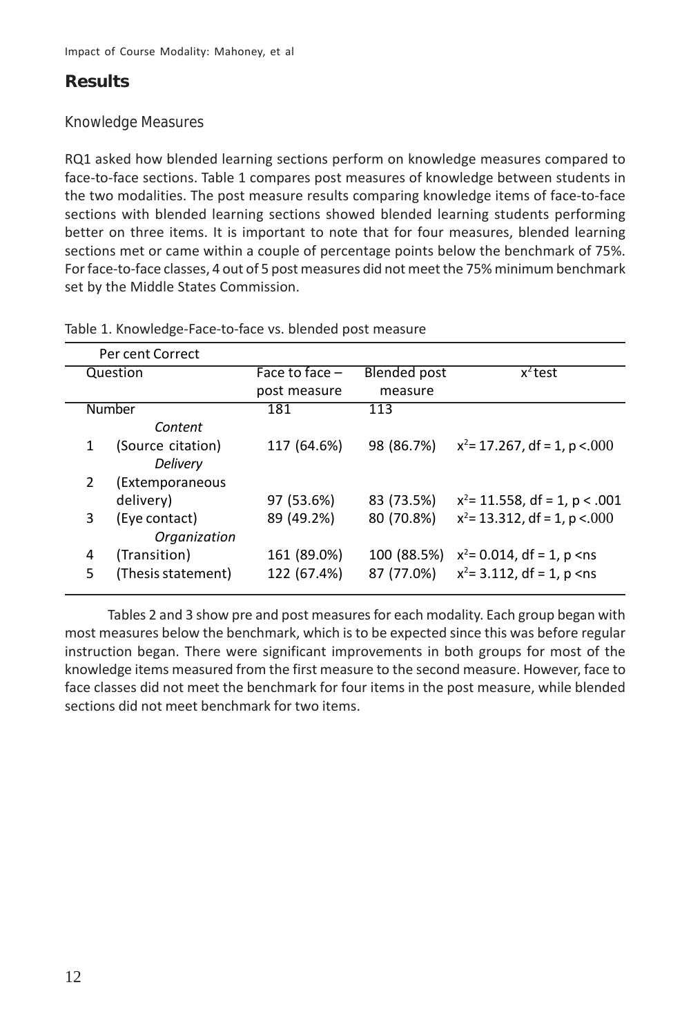# **Results**

## Knowledge Measures

RQ1 asked how blended learning sections perform on knowledge measures compared to face-to-face sections. Table 1 compares post measures of knowledge between students in the two modalities. The post measure results comparing knowledge items of face-to-face sections with blended learning sections showed blended learning students performing better on three items. It is important to note that for four measures, blended learning sections met or came within a couple of percentage points below the benchmark of 75%. For face-to-face classes, 4 out of 5 post measures did not meet the 75% minimum benchmark set by the Middle States Commission.

|   | Per cent Correct   |                  |                     |                                  |  |  |
|---|--------------------|------------------|---------------------|----------------------------------|--|--|
|   | Question           | Face to face $-$ | <b>Blended post</b> | $x^2$ test                       |  |  |
|   |                    | post measure     | measure             |                                  |  |  |
|   | <b>Number</b>      | 181              | 113                 |                                  |  |  |
|   | Content            |                  |                     |                                  |  |  |
| 1 | (Source citation)  | 117 (64.6%)      | 98 (86.7%)          | $x^2$ = 17.267, df = 1, p <.000  |  |  |
|   | Delivery           |                  |                     |                                  |  |  |
| 2 | (Extemporaneous    |                  |                     |                                  |  |  |
|   | delivery)          | 97 (53.6%)       | 83 (73.5%)          | $x^2$ = 11.558, df = 1, p < .001 |  |  |
| 3 | (Eye contact)      | 89 (49.2%)       | 80 (70.8%)          | $x^2$ = 13.312, df = 1, p <.000  |  |  |
|   | Organization       |                  |                     |                                  |  |  |
| 4 | (Transition)       | 161 (89.0%)      | 100 (88.5%)         | $x^2$ = 0.014, df = 1, p < ns    |  |  |
| 5 | (Thesis statement) | 122 (67.4%)      | 87 (77.0%)          | $x^2$ = 3.112, df = 1, p < ns    |  |  |
|   |                    |                  |                     |                                  |  |  |

Table 1. Knowledge-Face-to-face vs. blended post measure

Tables 2 and 3 show pre and post measures for each modality. Each group began with most measures below the benchmark, which is to be expected since this was before regular instruction began. There were significant improvements in both groups for most of the knowledge items measured from the first measure to the second measure. However, face to face classes did not meet the benchmark for four items in the post measure, while blended sections did not meet benchmark for two items.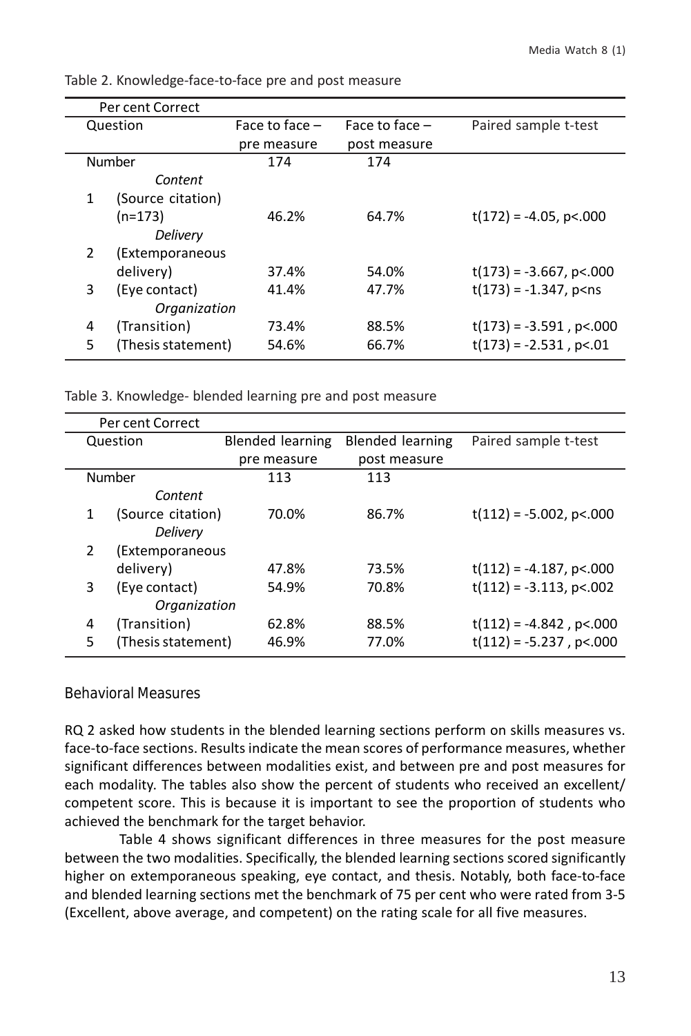|               | Per cent Correct   |                  |                  |                                         |  |  |
|---------------|--------------------|------------------|------------------|-----------------------------------------|--|--|
| Question      |                    | Face to face $-$ | Face to face $-$ | Paired sample t-test                    |  |  |
|               |                    | pre measure      | post measure     |                                         |  |  |
|               | Number             | 174              | 174              |                                         |  |  |
|               | Content            |                  |                  |                                         |  |  |
| 1             | (Source citation)  |                  |                  |                                         |  |  |
|               | $(n=173)$          | 46.2%            | 64.7%            | $t(172) = -4.05$ , p<.000               |  |  |
|               | Delivery           |                  |                  |                                         |  |  |
| $\mathcal{L}$ | (Extemporaneous    |                  |                  |                                         |  |  |
|               | delivery)          | 37.4%            | 54.0%            | $t(173) = -3.667$ , p<.000              |  |  |
| 3             | (Eye contact)      | 41.4%            | 47.7%            | $t(173) = -1.347$ , p <ns< td=""></ns<> |  |  |
|               | Organization       |                  |                  |                                         |  |  |
| 4             | (Transition)       | 73.4%            | 88.5%            | $t(173) = -3.591$ , p<.000              |  |  |
| 5             | (Thesis statement) | 54.6%            | 66.7%            | $t(173) = -2.531$ , p<.01               |  |  |
|               |                    |                  |                  |                                         |  |  |

Table 2. Knowledge-face-to-face pre and post measure

Table 3. Knowledge- blended learning pre and post measure

| Per cent Correct                                |  |  |  |  |  |  |
|-------------------------------------------------|--|--|--|--|--|--|
| <b>Blended learning</b><br>Paired sample t-test |  |  |  |  |  |  |
| post measure                                    |  |  |  |  |  |  |
|                                                 |  |  |  |  |  |  |
|                                                 |  |  |  |  |  |  |
| $t(112) = -5.002$ , p<.000                      |  |  |  |  |  |  |
|                                                 |  |  |  |  |  |  |
|                                                 |  |  |  |  |  |  |
| $t(112) = -4.187$ , p<.000                      |  |  |  |  |  |  |
| $t(112) = -3.113$ , p<.002                      |  |  |  |  |  |  |
|                                                 |  |  |  |  |  |  |
| $t(112) = -4.842$ , p<.000                      |  |  |  |  |  |  |
| $t(112) = -5.237$ , p<.000                      |  |  |  |  |  |  |
|                                                 |  |  |  |  |  |  |

#### Behavioral Measures

RQ 2 asked how students in the blended learning sections perform on skills measures vs. face-to-face sections. Results indicate the mean scores of performance measures, whether significant differences between modalities exist, and between pre and post measures for each modality. The tables also show the percent of students who received an excellent/ competent score. This is because it is important to see the proportion of students who achieved the benchmark for the target behavior.

Table 4 shows significant differences in three measures for the post measure between the two modalities. Specifically, the blended learning sections scored significantly higher on extemporaneous speaking, eye contact, and thesis. Notably, both face-to-face and blended learning sections met the benchmark of 75 per cent who were rated from 3-5 (Excellent, above average, and competent) on the rating scale for all five measures.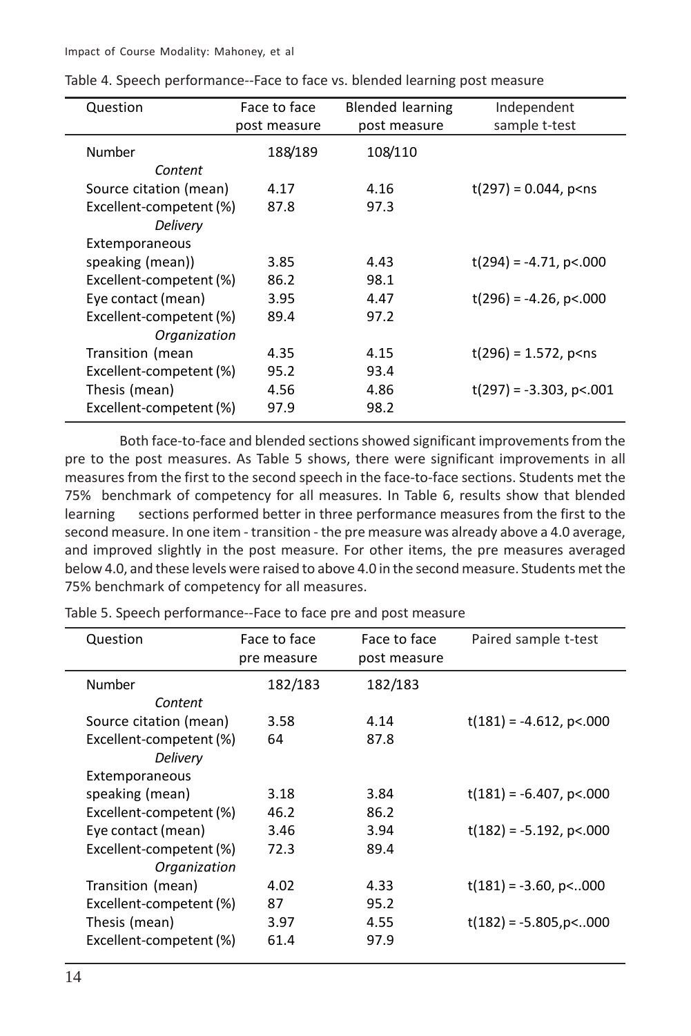Impact of Course Modality: Mahoney, et al

| Question                | Face to face | Blended learning | Independent                            |
|-------------------------|--------------|------------------|----------------------------------------|
|                         | post measure | post measure     | sample t-test                          |
| Number                  | 188/189      | 108/110          |                                        |
| Content                 |              |                  |                                        |
| Source citation (mean)  | 4.17         | 4.16             | $t(297) = 0.044$ , p <ns< td=""></ns<> |
| Excellent-competent (%) | 87.8         | 97.3             |                                        |
| Delivery                |              |                  |                                        |
| Extemporaneous          |              |                  |                                        |
| speaking (mean))        | 3.85         | 4.43             | $t(294) = -4.71$ , p<.000              |
| Excellent-competent (%) | 86.2         | 98.1             |                                        |
| Eye contact (mean)      | 3.95         | 4.47             | $t(296) = -4.26$ , p<.000              |
| Excellent-competent (%) | 89.4         | 97.2             |                                        |
| Organization            |              |                  |                                        |
| Transition (mean        | 4.35         | 4.15             | $t(296) = 1.572$ , p <ns< td=""></ns<> |
| Excellent-competent (%) | 95.2         | 93.4             |                                        |
| Thesis (mean)           | 4.56         | 4.86             | $t(297) = -3.303$ , p<.001             |
| Excellent-competent (%) | 97.9         | 98.2             |                                        |

Table 4. Speech performance--Face to face vs. blended learning post measure

Both face-to-face and blended sections showed significant improvements from the pre to the post measures. As Table 5 shows, there were significant improvements in all measures from the first to the second speech in the face-to-face sections. Students met the 75% benchmark of competency for all measures. In Table 6, results show that blended learning sections performed better in three performance measures from the first to the second measure. In one item - transition - the pre measure was already above a 4.0 average, and improved slightly in the post measure. For other items, the pre measures averaged below 4.0, and these levels were raised to above 4.0 in the second measure. Students met the 75% benchmark of competency for all measures.

Table 5. Speech performance--Face to face pre and post measure

| Question                | Face to face<br>pre measure | Face to face<br>post measure | Paired sample t-test       |
|-------------------------|-----------------------------|------------------------------|----------------------------|
| Number                  | 182/183                     | 182/183                      |                            |
| Content                 |                             |                              |                            |
| Source citation (mean)  | 3.58                        | 4.14                         | $t(181) = -4.612$ , p<.000 |
| Excellent-competent (%) | 64                          | 87.8                         |                            |
| Delivery                |                             |                              |                            |
| Extemporaneous          |                             |                              |                            |
| speaking (mean)         | 3.18                        | 3.84                         | $t(181) = -6.407$ , p<.000 |
| Excellent-competent (%) | 46.2                        | 86.2                         |                            |
| Eye contact (mean)      | 3.46                        | 3.94                         | $t(182) = -5.192$ , p<.000 |
| Excellent-competent (%) | 72.3                        | 89.4                         |                            |
| Organization            |                             |                              |                            |
| Transition (mean)       | 4.02                        | 4.33                         | $t(181) = -3.60$ , p<000   |
| Excellent-competent (%) | 87                          | 95.2                         |                            |
| Thesis (mean)           | 3.97                        | 4.55                         | $t(182) = -5.805$ , p<000  |
| Excellent-competent (%) | 61.4                        | 97.9                         |                            |
|                         |                             |                              |                            |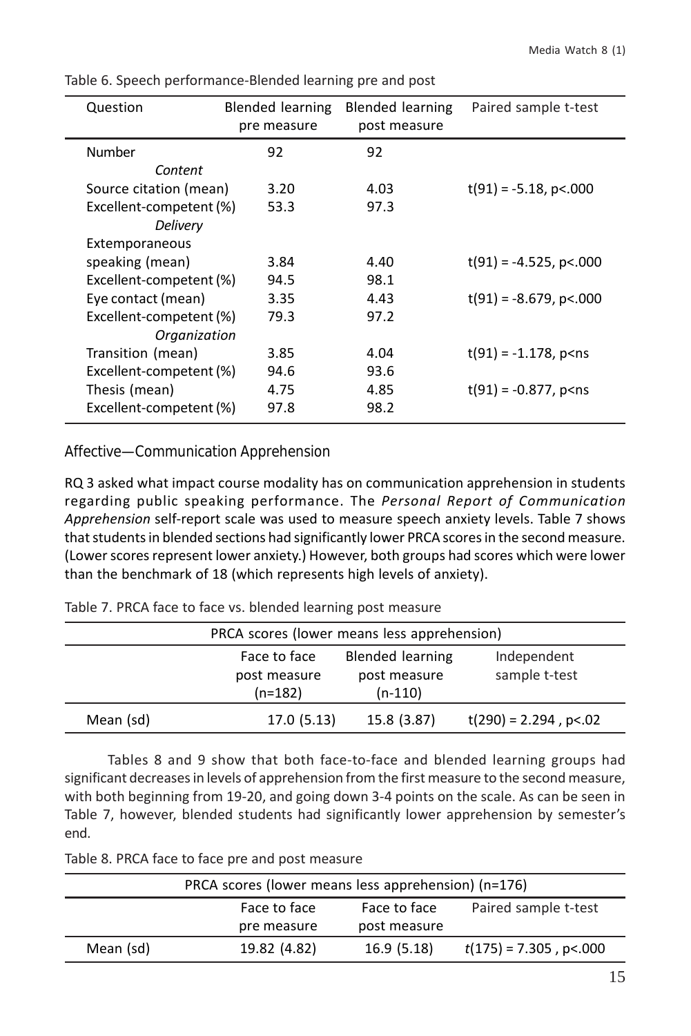| Question                | Blended learning | Blended learning | Paired sample t-test                   |
|-------------------------|------------------|------------------|----------------------------------------|
|                         | pre measure      | post measure     |                                        |
| Number                  | 92               | 92               |                                        |
| Content                 |                  |                  |                                        |
| Source citation (mean)  | 3.20             | 4.03             | $t(91) = -5.18$ , p<.000               |
| Excellent-competent (%) | 53.3             | 97.3             |                                        |
| Delivery                |                  |                  |                                        |
| Extemporaneous          |                  |                  |                                        |
| speaking (mean)         | 3.84             | 4.40             | $t(91) = -4.525$ , p<.000              |
| Excellent-competent (%) | 94.5             | 98.1             |                                        |
| Eye contact (mean)      | 3.35             | 4.43             | $t(91) = -8.679$ , p<.000              |
| Excellent-competent (%) | 79.3             | 97.2             |                                        |
| Organization            |                  |                  |                                        |
| Transition (mean)       | 3.85             | 4.04             | $t(91) = -1.178$ , p <ns< td=""></ns<> |
| Excellent-competent (%) | 94.6             | 93.6             |                                        |
| Thesis (mean)           | 4.75             | 4.85             | $t(91) = -0.877$ , p <ns< td=""></ns<> |
| Excellent-competent (%) | 97.8             | 98.2             |                                        |

Table 6. Speech performance-Blended learning pre and post

Affective—Communication Apprehension

RQ 3 asked what impact course modality has on communication apprehension in students regarding public speaking performance. The *Personal Report of Communication Apprehension* self-report scale was used to measure speech anxiety levels. Table 7 shows that students in blended sections had significantly lower PRCA scores in the second measure. (Lower scores represent lower anxiety.) However, both groups had scores which were lower than the benchmark of 18 (which represents high levels of anxiety).

|  |  |  |  |  |  |  |  |  | Table 7. PRCA face to face vs. blended learning post measure |
|--|--|--|--|--|--|--|--|--|--------------------------------------------------------------|
|--|--|--|--|--|--|--|--|--|--------------------------------------------------------------|

| PRCA scores (lower means less apprehension)                                                                                       |            |             |                          |  |  |  |
|-----------------------------------------------------------------------------------------------------------------------------------|------------|-------------|--------------------------|--|--|--|
| Face to face<br><b>Blended learning</b><br>Independent<br>sample t-test<br>post measure<br>post measure<br>$(n=182)$<br>$(n-110)$ |            |             |                          |  |  |  |
| Mean (sd)                                                                                                                         | 17.0(5.13) | 15.8 (3.87) | $t(290) = 2.294$ , p<.02 |  |  |  |

Tables 8 and 9 show that both face-to-face and blended learning groups had significant decreases in levels of apprehension from the first measure to the second measure, with both beginning from 19-20, and going down 3-4 points on the scale. As can be seen in Table 7, however, blended students had significantly lower apprehension by semester's end.

Table 8. PRCA face to face pre and post measure

|           | PRCA scores (lower means less apprehension) (n=176) |              |                           |  |  |  |
|-----------|-----------------------------------------------------|--------------|---------------------------|--|--|--|
|           | Paired sample t-test                                |              |                           |  |  |  |
|           | pre measure                                         | post measure |                           |  |  |  |
| Mean (sd) | 19.82 (4.82)                                        | 16.9(5.18)   | $t(175) = 7.305$ , p<.000 |  |  |  |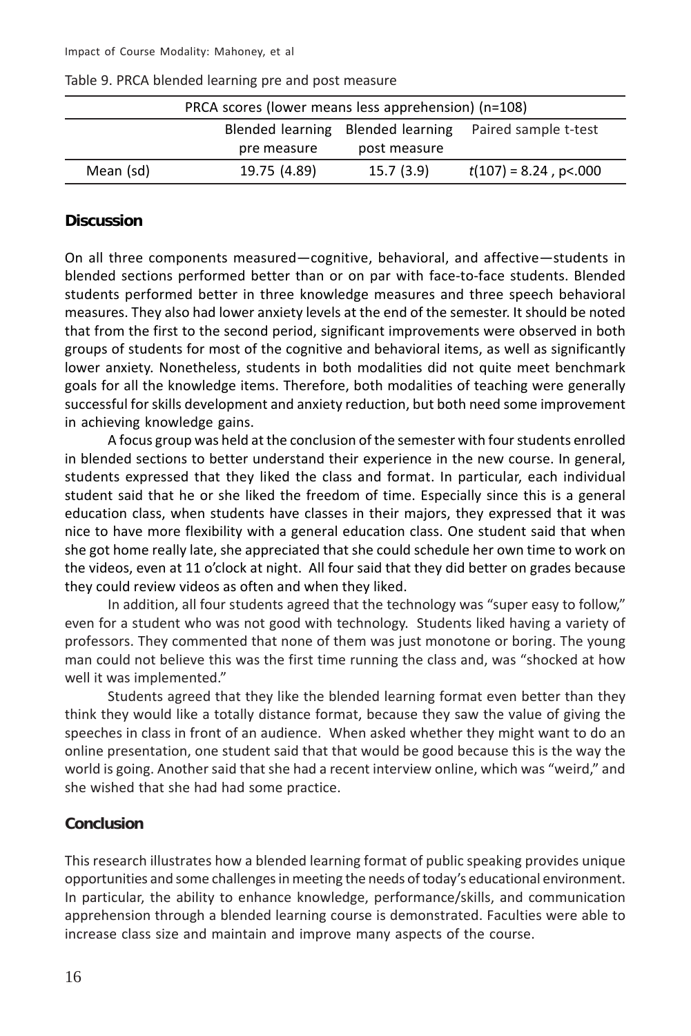|                                                        | PRCA scores (lower means less apprehension) (n=108) |              |                          |  |  |  |
|--------------------------------------------------------|-----------------------------------------------------|--------------|--------------------------|--|--|--|
| Blended learning Blended learning Paired sample t-test |                                                     |              |                          |  |  |  |
|                                                        | pre measure                                         | post measure |                          |  |  |  |
| Mean (sd)                                              | 19.75 (4.89)                                        | 15.7(3.9)    | $t(107) = 8.24$ , p<.000 |  |  |  |

Table 9. PRCA blended learning pre and post measure

#### **Discussion**

On all three components measured—cognitive, behavioral, and affective—students in blended sections performed better than or on par with face-to-face students. Blended students performed better in three knowledge measures and three speech behavioral measures. They also had lower anxiety levels at the end of the semester. It should be noted that from the first to the second period, significant improvements were observed in both groups of students for most of the cognitive and behavioral items, as well as significantly lower anxiety. Nonetheless, students in both modalities did not quite meet benchmark goals for all the knowledge items. Therefore, both modalities of teaching were generally successful for skills development and anxiety reduction, but both need some improvement in achieving knowledge gains.

A focus group was held at the conclusion of the semester with four students enrolled in blended sections to better understand their experience in the new course. In general, students expressed that they liked the class and format. In particular, each individual student said that he or she liked the freedom of time. Especially since this is a general education class, when students have classes in their majors, they expressed that it was nice to have more flexibility with a general education class. One student said that when she got home really late, she appreciated that she could schedule her own time to work on the videos, even at 11 o'clock at night. All four said that they did better on grades because they could review videos as often and when they liked.

In addition, all four students agreed that the technology was "super easy to follow," even for a student who was not good with technology. Students liked having a variety of professors. They commented that none of them was just monotone or boring. The young man could not believe this was the first time running the class and, was "shocked at how well it was implemented."

Students agreed that they like the blended learning format even better than they think they would like a totally distance format, because they saw the value of giving the speeches in class in front of an audience. When asked whether they might want to do an online presentation, one student said that that would be good because this is the way the world is going. Another said that she had a recent interview online, which was "weird," and she wished that she had had some practice.

# **Conclusion**

This research illustrates how a blended learning format of public speaking provides unique opportunities and some challenges in meeting the needs of today's educational environment. In particular, the ability to enhance knowledge, performance/skills, and communication apprehension through a blended learning course is demonstrated. Faculties were able to increase class size and maintain and improve many aspects of the course.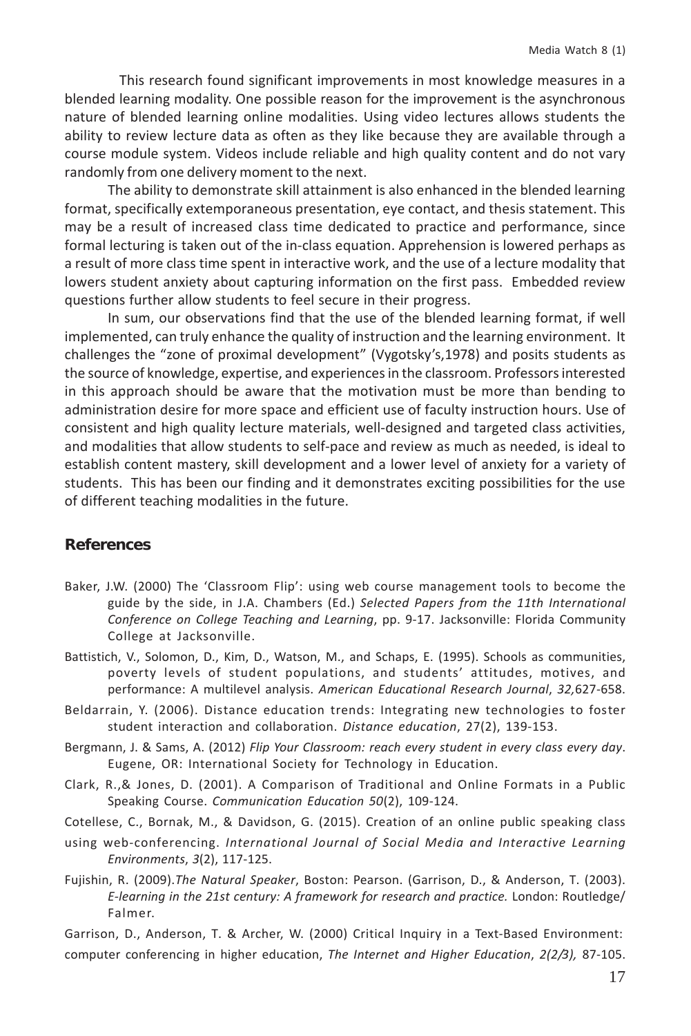This research found significant improvements in most knowledge measures in a blended learning modality. One possible reason for the improvement is the asynchronous nature of blended learning online modalities. Using video lectures allows students the ability to review lecture data as often as they like because they are available through a course module system. Videos include reliable and high quality content and do not vary randomly from one delivery moment to the next.

The ability to demonstrate skill attainment is also enhanced in the blended learning format, specifically extemporaneous presentation, eye contact, and thesis statement. This may be a result of increased class time dedicated to practice and performance, since formal lecturing is taken out of the in-class equation. Apprehension is lowered perhaps as a result of more class time spent in interactive work, and the use of a lecture modality that lowers student anxiety about capturing information on the first pass. Embedded review questions further allow students to feel secure in their progress.

In sum, our observations find that the use of the blended learning format, if well implemented, can truly enhance the quality of instruction and the learning environment. It challenges the "zone of proximal development" (Vygotsky's,1978) and posits students as the source of knowledge, expertise, and experiences in the classroom. Professors interested in this approach should be aware that the motivation must be more than bending to administration desire for more space and efficient use of faculty instruction hours. Use of consistent and high quality lecture materials, well-designed and targeted class activities, and modalities that allow students to self-pace and review as much as needed, is ideal to establish content mastery, skill development and a lower level of anxiety for a variety of students. This has been our finding and it demonstrates exciting possibilities for the use of different teaching modalities in the future.

#### **References**

- Baker, J.W. (2000) The 'Classroom Flip': using web course management tools to become the guide by the side, in J.A. Chambers (Ed.) *Selected Papers from the 11th International Conference on College Teaching and Learning*, pp. 9-17. Jacksonville: Florida Community College at Jacksonville.
- Battistich, V., Solomon, D., Kim, D., Watson, M., and Schaps, E. (1995). Schools as communities, poverty levels of student populations, and students' attitudes, motives, and performance: A multilevel analysis. *American Educational Research Journal*, *32,*627-658.
- Beldarrain, Y. (2006). Distance education trends: Integrating new technologies to foster student interaction and collaboration. *Distance education*, 27(2), 139-153.
- Bergmann, J. & Sams, A. (2012) *Flip Your Classroom: reach every student in every class every day*. Eugene, OR: International Society for Technology in Education.
- Clark, R.,& Jones, D. (2001). A Comparison of Traditional and Online Formats in a Public Speaking Course. *Communication Education 50*(2), 109-124.
- Cotellese, C., Bornak, M., & Davidson, G. (2015). Creation of an online public speaking class
- using web-conferencing. *International Journal of Social Media and Interactive Learning Environments*, *3*(2), 117-125.
- Fujishin, R. (2009).*The Natural Speaker*, Boston: Pearson. (Garrison, D., & Anderson, T. (2003). *E-learning in the 21st century: A framework for research and practice.* London: Routledge/ Falmer.
- Garrison, D., Anderson, T. & Archer, W. (2000) Critical Inquiry in a Text-Based Environment: computer conferencing in higher education, *The Internet and Higher Education*, *2(2/3),* 87-105.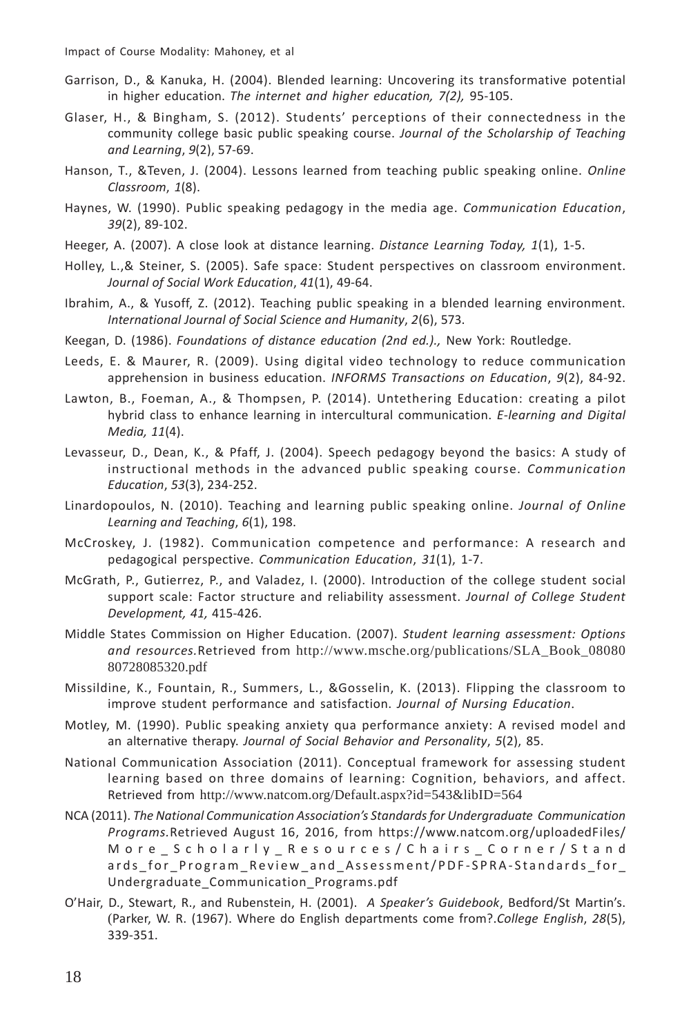- Garrison, D., & Kanuka, H. (2004). Blended learning: Uncovering its transformative potential in higher education. *The internet and higher education, 7(2),* 95-105.
- Glaser, H., & Bingham, S. (2012). Students' perceptions of their connectedness in the community college basic public speaking course. *Journal of the Scholarship of Teaching and Learning*, *9*(2), 57-69.
- Hanson, T., &Teven, J. (2004). Lessons learned from teaching public speaking online. *Online Classroom*, *1*(8).
- Haynes, W. (1990). Public speaking pedagogy in the media age. *Communication Education*, *39*(2), 89-102.
- Heeger, A. (2007). A close look at distance learning. *Distance Learning Today, 1*(1), 1-5.
- Holley, L.,& Steiner, S. (2005). Safe space: Student perspectives on classroom environment. *Journal of Social Work Education*, *41*(1), 49-64.
- Ibrahim, A., & Yusoff, Z. (2012). Teaching public speaking in a blended learning environment. *International Journal of Social Science and Humanity*, *2*(6), 573.
- Keegan, D. (1986). *Foundations of distance education (2nd ed.).,* New York: Routledge.
- Leeds, E. & Maurer, R. (2009). Using digital video technology to reduce communication apprehension in business education. *INFORMS Transactions on Education*, *9*(2), 84-92.
- Lawton, B., Foeman, A., & Thompsen, P. (2014). Untethering Education: creating a pilot hybrid class to enhance learning in intercultural communication. *E-learning and Digital Media, 11*(4).
- Levasseur, D., Dean, K., & Pfaff, J. (2004). Speech pedagogy beyond the basics: A study of instructional methods in the advanced public speaking course. *Communication Education*, *53*(3), 234-252.
- Linardopoulos, N. (2010). Teaching and learning public speaking online. *Journal of Online Learning and Teaching*, *6*(1), 198.
- McCroskey, J. (1982). Communication competence and performance: A research and pedagogical perspective. *Communication Education*, *31*(1), 1-7.
- McGrath, P., Gutierrez, P., and Valadez, I. (2000). Introduction of the college student social support scale: Factor structure and reliability assessment. *Journal of College Student Development, 41,* 415-426.
- Middle States Commission on Higher Education. (2007). *Student learning assessment: Options and resources.*Retrieved from http://www.msche.org/publications/SLA\_Book\_08080 80728085320.pdf
- Missildine, K., Fountain, R., Summers, L., &Gosselin, K. (2013). Flipping the classroom to improve student performance and satisfaction. *Journal of Nursing Education*.
- Motley, M. (1990). Public speaking anxiety qua performance anxiety: A revised model and an alternative therapy. *Journal of Social Behavior and Personality*, *5*(2), 85.
- National Communication Association (2011). Conceptual framework for assessing student learning based on three domains of learning: Cognition, behaviors, and affect. Retrieved from http://www.natcom.org/Default.aspx?id=543&libID=564
- NCA (2011). *The National Communication Association's Standards for Undergraduate Communication Programs.*Retrieved August 16, 2016, from https://www.natcom.org/uploadedFiles/ More\_Scholarly\_Resources/Chairs\_Corner/Stand ards for Program Review and Assessment/PDF-SPRA-Standards for Undergraduate\_Communication\_Programs.pdf
- O'Hair, D., Stewart, R., and Rubenstein, H. (2001). *A Speaker's Guidebook*, Bedford/St Martin's. (Parker, W. R. (1967). Where do English departments come from?.*College English*, *28*(5), 339-351.